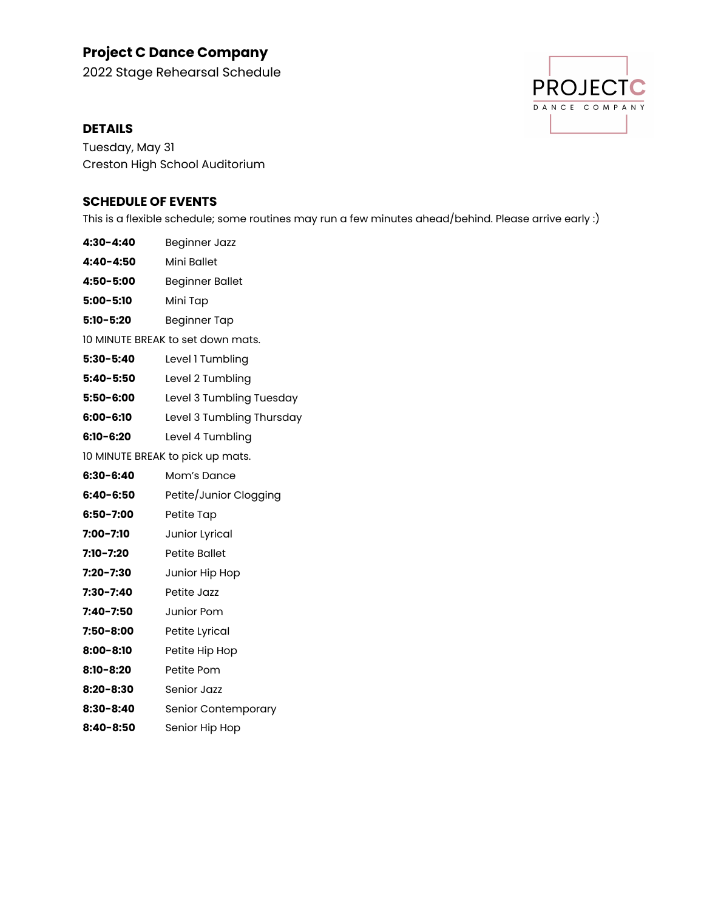# **Project C Dance Company**

2022 Stage Rehearsal Schedule

## **DETAILS**

**PROJECTC** DANCE COMPANY

Tuesday, May 31 Creston High School Auditorium

## **SCHEDULE OF EVENTS**

This is a flexible schedule; some routines may run a few minutes ahead/behind. Please arrive early :)

| 4:30-4:40                         | Beginner Jazz             |
|-----------------------------------|---------------------------|
| 4:40-4:50                         | Mini Ballet               |
| 4:50-5:00                         | <b>Beginner Ballet</b>    |
| $5:00 - 5:10$                     | Mini Tap                  |
| $5:10 - 5:20$                     | <b>Beginner Tap</b>       |
| 10 MINUTE BREAK to set down mats. |                           |
| $5:30 - 5:40$                     | Level 1 Tumbling          |
| $5:40 - 5:50$                     | Level 2 Tumbling          |
| 5:50-6:00                         | Level 3 Tumbling Tuesday  |
| 6:00-6:10                         | Level 3 Tumbling Thursday |
| 6:10-6:20                         | Level 4 Tumbling          |
| 10 MINUTE BREAK to pick up mats.  |                           |
| 6:30-6:40                         | Mom's Dance               |
| 6:40-6:50                         | Petite/Junior Clogging    |
| 6:50-7:00                         | Petite Tap                |
| 7:00-7:10                         | Junior Lyrical            |
| 7:10-7:20                         | <b>Petite Ballet</b>      |
| 7:20-7:30                         | Junior Hip Hop            |
| 7:30-7:40                         | Petite Jazz               |
| 7:40-7:50                         | Junior Pom                |
| 7:50-8:00                         | Petite Lyrical            |
| 8:00-8:10                         | Petite Hip Hop            |
| 8:10-8:20                         | Petite Pom                |
| $8:20 - 8:30$                     | Senior Jazz               |
| 8:30-8:40                         | Senior Contemporary       |
| 8:40-8:50                         | Senior Hip Hop            |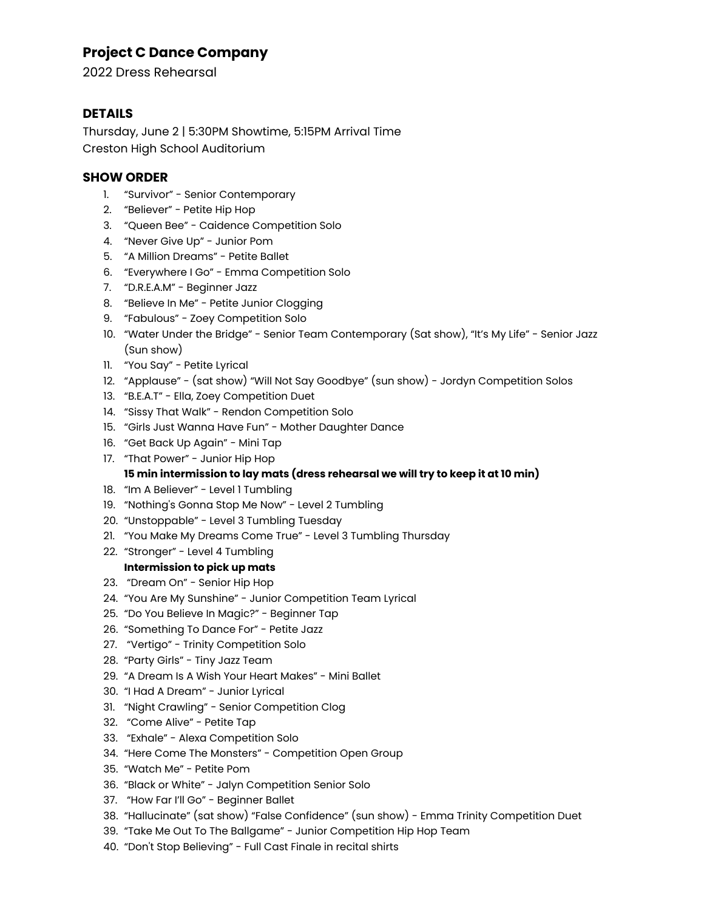## **Project C Dance Company**

2022 Dress Rehearsal

## **DETAILS**

Thursday, June 2 | 5:30PM Showtime, 5:15PM Arrival Time Creston High School Auditorium

## **SHOW ORDER**

- 1. "Survivor" Senior Contemporary
- 2. "Believer" Petite Hip Hop
- 3. "Queen Bee" Caidence Competition Solo
- 4. "Never Give Up" Junior Pom
- 5. "A Million Dreams" Petite Ballet
- 6. "Everywhere I Go" Emma Competition Solo
- 7. "D.R.E.A.M" Beginner Jazz
- 8. "Believe In Me" Petite Junior Clogging
- 9. "Fabulous" Zoey Competition Solo
- 10. "Water Under the Bridge" Senior Team Contemporary (Sat show), "It's My Life" Senior Jazz (Sun show)
- 11. "You Say" Petite Lyrical
- 12. "Applause" (sat show) "Will Not Say Goodbye" (sun show) Jordyn Competition Solos
- 13. "B.E.A.T" Ella, Zoey Competition Duet
- 14. "Sissy That Walk" Rendon Competition Solo
- 15. "Girls Just Wanna Have Fun" Mother Daughter Dance
- 16. "Get Back Up Again" Mini Tap
- 17. "That Power" Junior Hip Hop

## **15 min intermission to lay mats (dress rehearsal we will try to keep it at 10 min)**

- 18. "Im A Believer" Level 1 Tumbling
- 19. "Nothing's Gonna Stop Me Now" Level 2 Tumbling
- 20. "Unstoppable" Level 3 Tumbling Tuesday
- 21. "You Make My Dreams Come True" Level 3 Tumbling Thursday
- 22. "Stronger" Level 4 Tumbling

#### **Intermission to pick up mats**

- 23. "Dream On" Senior Hip Hop
- 24. "You Are My Sunshine" Junior Competition Team Lyrical
- 25. "Do You Believe In Magic?" Beginner Tap
- 26. "Something To Dance For" Petite Jazz
- 27. "Vertigo" Trinity Competition Solo
- 28. "Party Girls" Tiny Jazz Team
- 29. "A Dream Is A Wish Your Heart Makes" Mini Ballet
- 30. "I Had A Dream" Junior Lyrical
- 31. "Night Crawling" Senior Competition Clog
- 32. "Come Alive" Petite Tap
- 33. "Exhale" Alexa Competition Solo
- 34. "Here Come The Monsters" Competition Open Group
- 35. "Watch Me" Petite Pom
- 36. "Black or White" Jalyn Competition Senior Solo
- 37. "How Far I'll Go" Beginner Ballet
- 38. "Hallucinate" (sat show) "False Confidence" (sun show) Emma Trinity Competition Duet
- 39. "Take Me Out To The Ballgame" Junior Competition Hip Hop Team
- 40. "Don't Stop Believing" Full Cast Finale in recital shirts